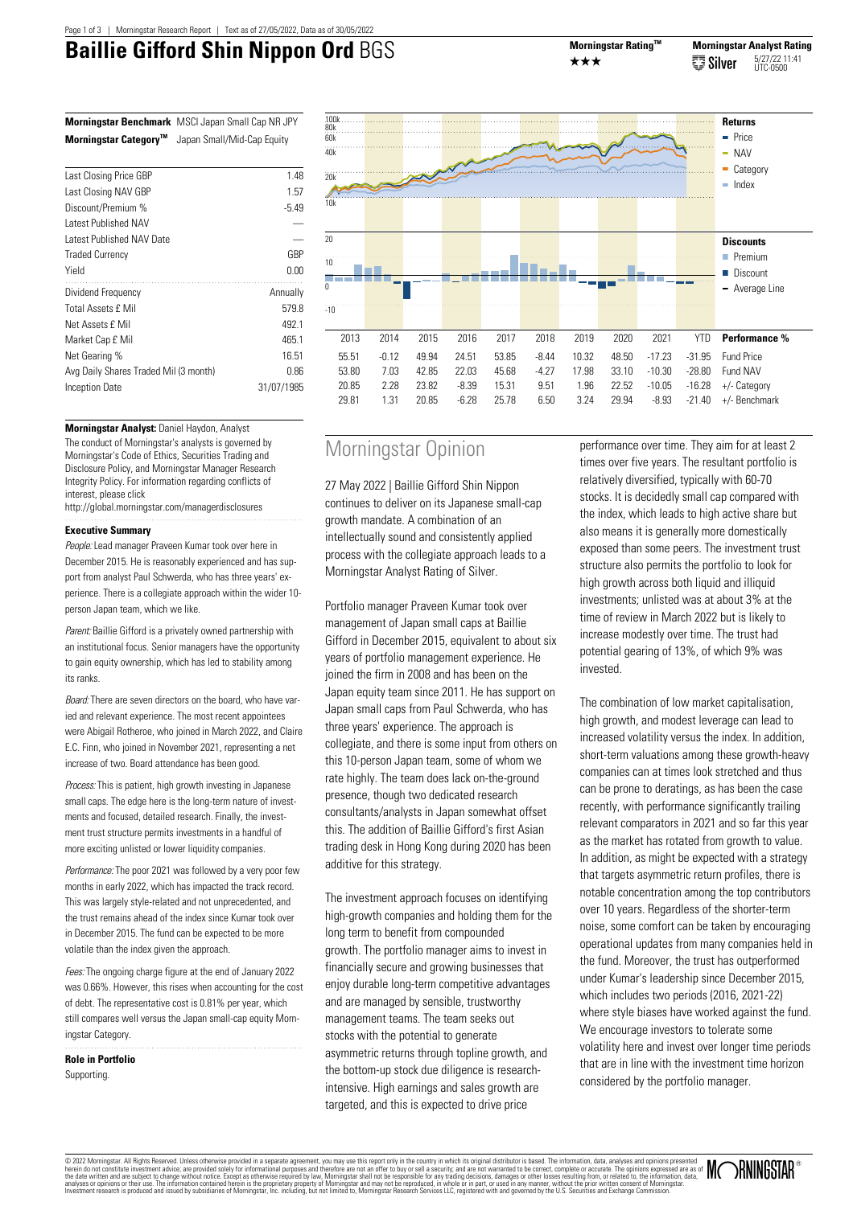# **Baillie Gifford Shin Nippon Ord** BGS Morningstar Rating™



|                                   | <b>Morningstar Benchmark</b> MSCI Japan Small Cap NR JPY |  |
|-----------------------------------|----------------------------------------------------------|--|
| Morningstar Category <sup>™</sup> | Japan Small/Mid-Cap Equity                               |  |

| Last Closing Price GBP                | 1.48       |
|---------------------------------------|------------|
| Last Closing NAV GBP                  | 1.57       |
| Discount/Premium %                    | $-5.49$    |
| Latest Published NAV                  |            |
| Latest Published NAV Date             |            |
| <b>Traded Currency</b>                | GBP        |
| Yield                                 | 0.00       |
| Dividend Frequency                    | Annually   |
| <b>Total Assets f Mil</b>             | 579.8      |
| Net Assets £ Mil                      | 492.1      |
| Market Cap £ Mil                      | 465.1      |
| Net Gearing %                         | 16.51      |
| Avg Daily Shares Traded Mil (3 month) | 0.86       |
| <b>Inception Date</b>                 | 31/07/1985 |
|                                       |            |



# **Morningstar Analyst:** Daniel Haydon, Analyst The conduct of Morningstar's analysts is governed by Morningstar's Code of Ethics, Securities Trading and Disclosure Policy, and Morningstar Manager Research Integrity Policy. For information regarding conflicts of interest, please click

http://global.morningstar.com/managerdisclosures 

# **Executive Summary**

People: Lead manager Praveen Kumar took over here in December 2015. He is reasonably experienced and has support from analyst Paul Schwerda, who has three years' experience. There is a collegiate approach within the wider 10 person Japan team, which we like.

Parent: Baillie Gifford is a privately owned partnership with an institutional focus. Senior managers have the opportunity to gain equity ownership, which has led to stability among its ranks.

Board: There are seven directors on the board, who have varied and relevant experience. The most recent appointees were Abigail Rotheroe, who joined in March 2022, and Claire E.C. Finn, who joined in November 2021, representing a net increase of two. Board attendance has been good.

Process: This is patient, high growth investing in Japanese small caps. The edge here is the long-term nature of investments and focused, detailed research. Finally, the investment trust structure permits investments in a handful of more exciting unlisted or lower liquidity companies.

Performance: The poor 2021 was followed by a very poor few months in early 2022, which has impacted the track record. This was largely style-related and not unprecedented, and the trust remains ahead of the index since Kumar took over in December 2015. The fund can be expected to be more volatile than the index given the approach.

Fees: The ongoing charge figure at the end of January 2022 was 0.66%. However, this rises when accounting for the cost of debt. The representative cost is 0.81% per year, which still compares well versus the Japan small-cap equity Morningstar Category.

**Role in Portfolio Supporting** 

# Morningstar Opinion

27 May 2022 | Baillie Gifford Shin Nippon continues to deliver on its Japanese small-cap growth mandate. A combination of an intellectually sound and consistently applied process with the collegiate approach leads to a Morningstar Analyst Rating of Silver.

Portfolio manager Praveen Kumar took over management of Japan small caps at Baillie Gifford in December 2015, equivalent to about six years of portfolio management experience. He joined the firm in 2008 and has been on the Japan equity team since 2011. He has support on Japan small caps from Paul Schwerda, who has three years' experience. The approach is collegiate, and there is some input from others on this 10-person Japan team, some of whom we rate highly. The team does lack on-the-ground presence, though two dedicated research consultants/analysts in Japan somewhat offset this. The addition of Baillie Gifford's first Asian trading desk in Hong Kong during 2020 has been additive for this strategy.

The investment approach focuses on identifying high-growth companies and holding them for the long term to benefit from compounded growth. The portfolio manager aims to invest in financially secure and growing businesses that enjoy durable long-term competitive advantages and are managed by sensible, trustworthy management teams. The team seeks out stocks with the potential to generate asymmetric returns through topline growth, and the bottom-up stock due diligence is researchintensive. High earnings and sales growth are targeted, and this is expected to drive price

performance over time. They aim for at least 2 times over five years. The resultant portfolio is relatively diversified, typically with 60-70 stocks. It is decidedly small cap compared with the index, which leads to high active share but also means it is generally more domestically exposed than some peers. The investment trust structure also permits the portfolio to look for high growth across both liquid and illiquid investments; unlisted was at about 3% at the time of review in March 2022 but is likely to increase modestly over time. The trust had potential gearing of 13%, of which 9% was invested.

The combination of low market capitalisation, high growth, and modest leverage can lead to increased volatility versus the index. In addition, short-term valuations among these growth-heavy companies can at times look stretched and thus can be prone to deratings, as has been the case recently, with performance significantly trailing relevant comparators in 2021 and so far this year as the market has rotated from growth to value. In addition, as might be expected with a strategy that targets asymmetric return profiles, there is notable concentration among the top contributors over 10 years. Regardless of the shorter-term noise, some comfort can be taken by encouraging operational updates from many companies held in the fund. Moreover, the trust has outperformed under Kumar's leadership since December 2015, which includes two periods (2016, 2021-22) where style biases have worked against the fund. We encourage investors to tolerate some volatility here and invest over longer time periods that are in line with the investment time horizon considered by the portfolio manager.

© 2022 Momingstar. All Rights Reserved. Unleas otherwise provided in a separate agreement, you may use this report only inte country in which its original distributor is based. The information, data, analyses and therefore

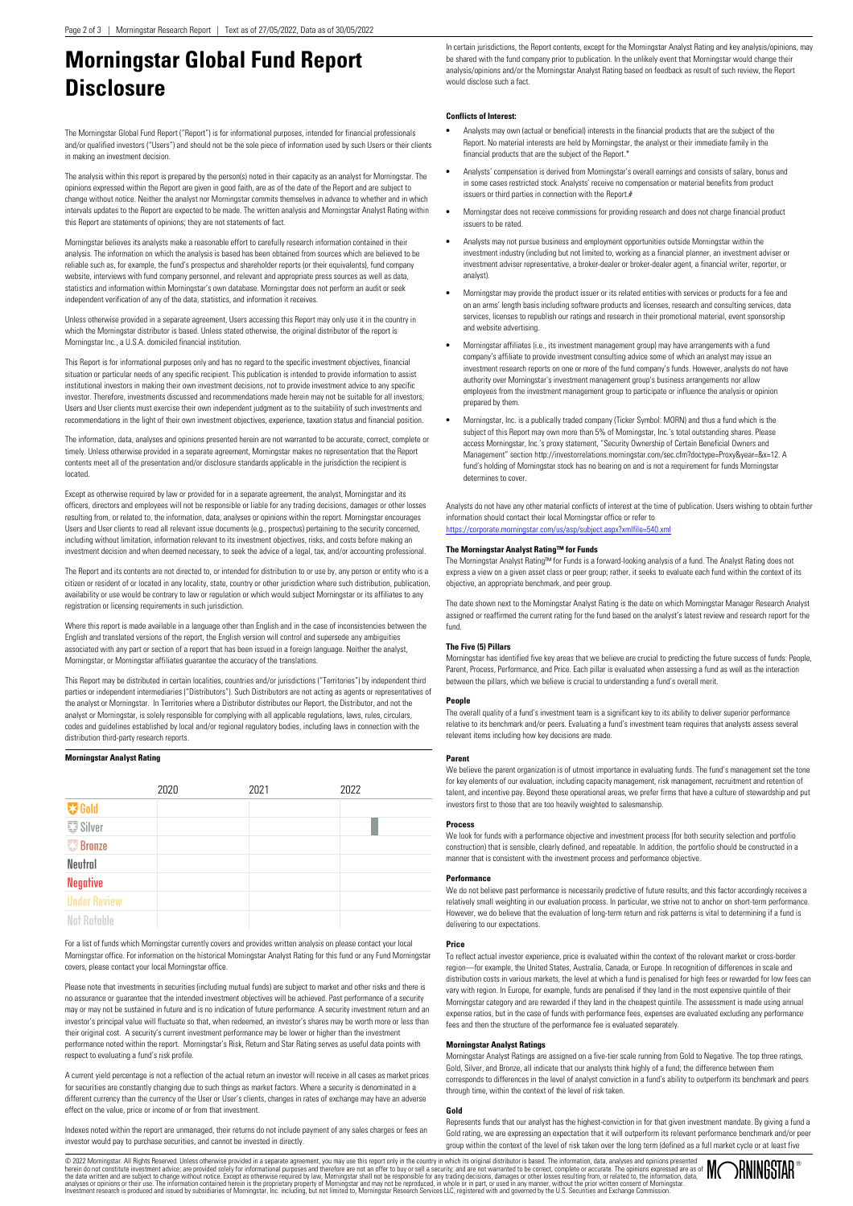# **Morningstar Global Fund Report Disclosure**

The Morningstar Global Fund Report ("Report") is for informational purposes, intended for financial professionals and/or qualified investors ("Users") and should not be the sole piece of information used by such Users or their clients in making an investment decision.

The analysis within this report is prepared by the person(s) noted in their capacity as an analyst for Morningstar. The opinions expressed within the Report are given in good faith, are as of the date of the Report and are subject to change without notice. Neither the analyst nor Morningstar commits themselves in advance to whether and in which intervals updates to the Report are expected to be made. The written analysis and Morningstar Analyst Rating within this Report are statements of opinions; they are not statements of fact.

Morningstar believes its analysts make a reasonable effort to carefully research information contained in their analysis. The information on which the analysis is based has been obtained from sources which are believed to be reliable such as, for example, the fund's prospectus and shareholder reports (or their equivalents), fund company website, interviews with fund company personnel, and relevant and appropriate press sources as well as data, statistics and information within Morningstar's own database. Morningstar does not perform an audit or seek independent verification of any of the data, statistics, and information it receives.

Unless otherwise provided in a separate agreement, Users accessing this Report may only use it in the country in which the Morningstar distributor is based. Unless stated otherwise, the original distributor of the report is Morningstar Inc., a U.S.A. domiciled financial institution.

This Report is for informational purposes only and has no regard to the specific investment objectives, financial situation or particular needs of any specific recipient. This publication is intended to provide information to assist institutional investors in making their own investment decisions, not to provide investment advice to any specific investor. Therefore, investments discussed and recommendations made herein may not be suitable for all investors; Users and User clients must exercise their own independent judgment as to the suitability of such investments and recommendations in the light of their own investment objectives, experience, taxation status and financial position.

The information, data, analyses and opinions presented herein are not warranted to be accurate, correct, complete or timely. Unless otherwise provided in a separate agreement, Morningstar makes no representation that the Report contents meet all of the presentation and/or disclosure standards applicable in the jurisdiction the recipient is located.

Except as otherwise required by law or provided for in a separate agreement, the analyst, Morningstar and its officers, directors and employees will not be responsible or liable for any trading decisions, damages or other losses resulting from, or related to, the information, data, analyses or opinions within the report. Morningstar encourages Users and User clients to read all relevant issue documents (e.g., prospectus) pertaining to the security concerned, including without limitation, information relevant to its investment objectives, risks, and costs before making an investment decision and when deemed necessary, to seek the advice of a legal, tax, and/or accounting professional.

The Report and its contents are not directed to, or intended for distribution to or use by, any person or entity who is a citizen or resident of or located in any locality, state, country or other jurisdiction where such distribution, publication, availability or use would be contrary to law or regulation or which would subject Morningstar or its affiliates to any registration or licensing requirements in such jurisdiction.

Where this report is made available in a language other than English and in the case of inconsistencies between the English and translated versions of the report, the English version will control and supersede any ambiguities associated with any part or section of a report that has been issued in a foreign language. Neither the analyst, Morningstar, or Morningstar affiliates guarantee the accuracy of the translations.

This Report may be distributed in certain localities, countries and/or jurisdictions ("Territories") by independent third parties or independent intermediaries ("Distributors"). Such Distributors are not acting as agents or representatives of the analyst or Morningstar. In Territories where a Distributor distributes our Report, the Distributor, and not the analyst or Morningstar, is solely responsible for complying with all applicable regulations, laws, rules, circulars, codes and guidelines established by local and/or regional regulatory bodies, including laws in connection with the distribution third-party research reports.

## **Morningstar Analyst Rating**

|                     | 2020 | 2021 | 2022 |  |
|---------------------|------|------|------|--|
| <b>V</b> Gold       |      |      |      |  |
| <b>要 Silver</b>     |      |      |      |  |
| <b>Bronze</b>       |      |      |      |  |
| Neutral             |      |      |      |  |
| <b>Negative</b>     |      |      |      |  |
| <b>Under Review</b> |      |      |      |  |
| <b>Not Ratable</b>  |      |      |      |  |

For a list of funds which Morningstar currently covers and provides written analysis on please contact your local Morningstar office. For information on the historical Morningstar Analyst Rating for this fund or any Fund Morningstar covers, please contact your local Morningstar office.

Please note that investments in securities (including mutual funds) are subject to market and other risks and there is no assurance or guarantee that the intended investment objectives will be achieved. Past performance of a security may or may not be sustained in future and is no indication of future performance. A security investment return and an investor's principal value will fluctuate so that, when redeemed, an investor's shares may be worth more or less than their original cost. A security's current investment performance may be lower or higher than the investment performance noted within the report. Morningstar's Risk, Return and Star Rating serves as useful data points with respect to evaluating a fund's risk profile.

A current yield percentage is not a reflection of the actual return an investor will receive in all cases as market prices for securities are constantly changing due to such things as market factors. Where a security is denominated in a different currency than the currency of the User or User's clients, changes in rates of exchange may have an adverse effect on the value, price or income of or from that investment.

Indexes noted within the report are unmanaged, their returns do not include payment of any sales charges or fees an investor would pay to purchase securities, and cannot be invested in directly.

In certain jurisdictions, the Report contents, except for the Morningstar Analyst Rating and key analysis/opinions, may be shared with the fund company prior to publication. In the unlikely event that Morningstar would change their analysis/opinions and/or the Morningstar Analyst Rating based on feedback as result of such review, the Report would disclose such a fact.

# **Conflicts of Interest:**

- **•** Analysts may own (actual or beneficial) interests in the financial products that are the subject of the Report. No material interests are held by Morningstar, the analyst or their immediate family in the financial products that are the subject of the Report.
- **•** Analysts' compensation is derived from Morningstar's overall earnings and consists of salary, bonus and in some cases restricted stock. Analysts' receive no compensation or material benefits from product issuers or third parties in connection with the Report.#
- **•** Morningstar does not receive commissions for providing research and does not charge financial product issuers to be rated.
- **•** Analysts may not pursue business and employment opportunities outside Morningstar within the investment industry (including but not limited to, working as a financial planner, an investment adviser or investment adviser representative, a broker-dealer or broker-dealer agent, a financial writer, reporter, or analyst).
- **•** Morningstar may provide the product issuer or its related entities with services or products for a fee and on an arms' length basis including software products and licenses, research and consulting services, data services, licenses to republish our ratings and research in their promotional material, event sponsorship and website advertising.
- **•** Morningstar affiliates (i.e., its investment management group) may have arrangements with a fund company's affiliate to provide investment consulting advice some of which an analyst may issue investment research reports on one or more of the fund company's funds. However, analysts do not have authority over Morningstar's investment management group's business arrangements nor allow employees from the investment management group to participate or influence the analysis or opinion prepared by them.
- **•** Morningstar, Inc. is a publically traded company (Ticker Symbol: MORN) and thus a fund which is the subject of this Report may own more than 5% of Morningstar, Inc.'s total outstanding shares. Please access Morningstar, Inc.'s proxy statement, "Security Ownership of Certain Beneficial Owners and Management" section http://investorrelations.morningstar.com/sec.cfm?doctype=Proxy&year=&x=12. A fund's holding of Morningstar stock has no bearing on and is not a requirement for funds Morningstar determines to cover

Analysts do not have any other material conflicts of interest at the time of publication. Users wishing to obtain further information should contact their local Morningstar office or refer to <https://corporate.morningstar.com/us/asp/subject.aspx?xmlfile=540.xml>

## **The Morningstar Analyst Rating™ for Funds**

The Morningstar Analyst Rating™ for Funds is a forward-looking analysis of a fund. The Analyst Rating does not express a view on a given asset class or peer group; rather, it seeks to evaluate each fund within the context of its objective, an appropriate benchmark, and peer group.

The date shown next to the Morningstar Analyst Rating is the date on which Morningstar Manager Research Analyst assigned or reaffirmed the current rating for the fund based on the analyst's latest review and research report for the fund.

## **The Five (5) Pillars**

Morningstar has identified five key areas that we believe are crucial to predicting the future success of funds: People, Parent, Process, Performance, and Price. Each pillar is evaluated when assessing a fund as well as the interaction between the pillars, which we believe is crucial to understanding a fund's overall merit.

#### **People**

The overall quality of a fund's investment team is a significant key to its ability to deliver superior performance relative to its benchmark and/or peers. Evaluating a fund's investment team requires that analysts assess several relevant items including how key decisions are made.

#### **Parent**

We believe the parent organization is of utmost importance in evaluating funds. The fund's management set the tone for key elements of our evaluation, including capacity management, risk management, recruitment and retention of talent, and incentive pay. Beyond these operational areas, we prefer firms that have a culture of stewardship and put investors first to those that are too heavily weighted to salesmanship.

## **Process**

We look for funds with a performance objective and investment process (for both security selection and portfolio construction) that is sensible, clearly defined, and repeatable. In addition, the portfolio should be constructed in a manner that is consistent with the investment process and performance objective.

## **Performance**

We do not believe past performance is necessarily predictive of future results, and this factor accordingly receives a relatively small weighting in our evaluation process. In particular, we strive not to anchor on short-term performance. However, we do believe that the evaluation of long-term return and risk patterns is vital to determining if a fund is delivering to our expectations.

#### **Price**

To reflect actual investor experience, price is evaluated within the context of the relevant market or cross-border region—for example, the United States, Australia, Canada, or Europe. In recognition of differences in scale and distribution costs in various markets, the level at which a fund is penalised for high fees or rewarded for low fees can vary with region. In Europe, for example, funds are penalised if they land in the most expensive quintile of their Morningstar category and are rewarded if they land in the cheapest quintile. The assessment is made using annual expense ratios, but in the case of funds with performance fees, expenses are evaluated excluding any performance fees and then the structure of the performance fee is evaluated separately.

## **Morningstar Analyst Ratings**

Morningstar Analyst Ratings are assigned on a five-tier scale running from Gold to Negative. The top three ratings, Gold, Silver, and Bronze, all indicate that our analysts think highly of a fund; the difference between them corresponds to differences in the level of analyst conviction in a fund's ability to outperform its benchmark and peers through time, within the context of the level of risk taken.

## **Gold**

Represents funds that our analyst has the highest-conviction in for that given investment mandate. By giving a fund a Gold rating, we are expressing an expectation that it will outperform its relevant performance benchmark and/or peer group within the context of the level of risk taken over the long term (defined as a full market cycle or at least five

© 2022 Momingstar. All Rights Reserved. Unleas otherwise provided in a separate agreement, you may use this report only inte country in which its original distributor is based. The information, data, analyses and therefore